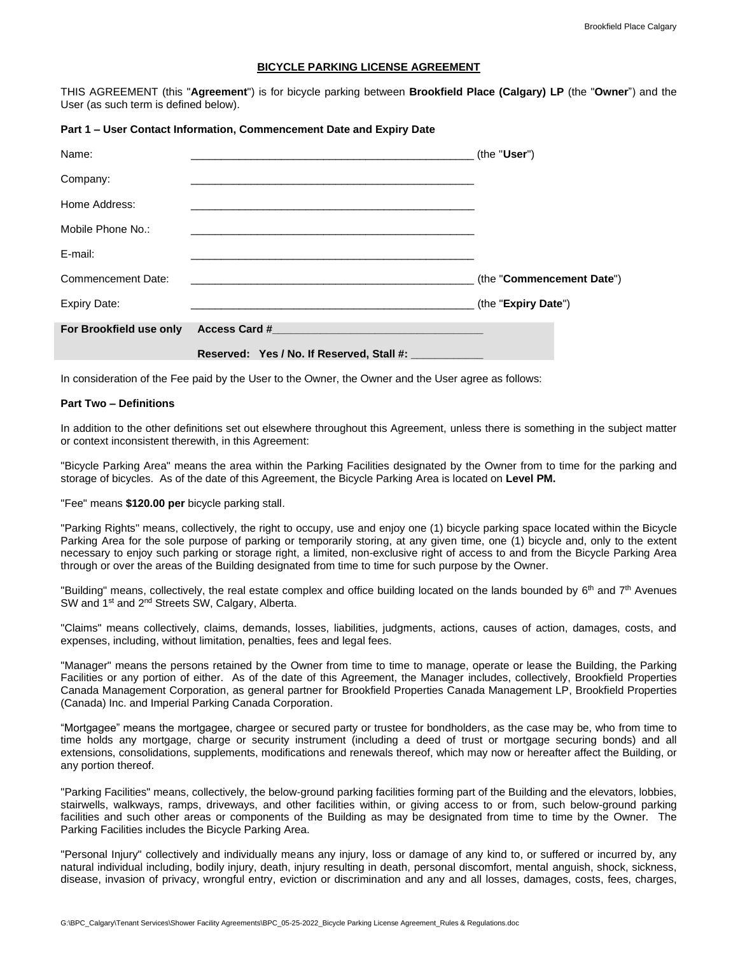### **BICYCLE PARKING LICENSE AGREEMENT**

THIS AGREEMENT (this "**Agreement**") is for bicycle parking between **Brookfield Place (Calgary) LP** (the "**Owner**") and the User (as such term is defined below).

#### **Part 1 – User Contact Information, Commencement Date and Expiry Date**

| Name:                   |                                                                                                               | (the "User")              |
|-------------------------|---------------------------------------------------------------------------------------------------------------|---------------------------|
| Company:                |                                                                                                               |                           |
| Home Address:           |                                                                                                               |                           |
| Mobile Phone No.:       |                                                                                                               |                           |
| E-mail:                 |                                                                                                               |                           |
| Commencement Date:      |                                                                                                               | (the "Commencement Date") |
| <b>Expiry Date:</b>     |                                                                                                               | (the "Expiry Date")       |
| For Brookfield use only | Access Card # 2008 Card # 2008 Card # 2008 Card # 2008 Card # 2008 Card # 2008 Card # 2008 Card # 2009 Card # |                           |
|                         | Reserved: Yes / No. If Reserved, Stall #: ___________                                                         |                           |

In consideration of the Fee paid by the User to the Owner, the Owner and the User agree as follows:

### **Part Two – Definitions**

In addition to the other definitions set out elsewhere throughout this Agreement, unless there is something in the subject matter or context inconsistent therewith, in this Agreement:

"Bicycle Parking Area" means the area within the Parking Facilities designated by the Owner from to time for the parking and storage of bicycles. As of the date of this Agreement, the Bicycle Parking Area is located on **Level PM.**

"Fee" means **\$120.00 per** bicycle parking stall.

"Parking Rights" means, collectively, the right to occupy, use and enjoy one (1) bicycle parking space located within the Bicycle Parking Area for the sole purpose of parking or temporarily storing, at any given time, one (1) bicycle and, only to the extent necessary to enjoy such parking or storage right, a limited, non-exclusive right of access to and from the Bicycle Parking Area through or over the areas of the Building designated from time to time for such purpose by the Owner.

"Building" means, collectively, the real estate complex and office building located on the lands bounded by  $6<sup>th</sup>$  and  $7<sup>th</sup>$  Avenues SW and 1<sup>st</sup> and 2<sup>nd</sup> Streets SW, Calgary, Alberta.

"Claims" means collectively, claims, demands, losses, liabilities, judgments, actions, causes of action, damages, costs, and expenses, including, without limitation, penalties, fees and legal fees.

"Manager" means the persons retained by the Owner from time to time to manage, operate or lease the Building, the Parking Facilities or any portion of either. As of the date of this Agreement, the Manager includes, collectively, Brookfield Properties Canada Management Corporation, as general partner for Brookfield Properties Canada Management LP, Brookfield Properties (Canada) Inc. and Imperial Parking Canada Corporation.

"Mortgagee" means the mortgagee, chargee or secured party or trustee for bondholders, as the case may be, who from time to time holds any mortgage, charge or security instrument (including a deed of trust or mortgage securing bonds) and all extensions, consolidations, supplements, modifications and renewals thereof, which may now or hereafter affect the Building, or any portion thereof.

"Parking Facilities" means, collectively, the below-ground parking facilities forming part of the Building and the elevators, lobbies, stairwells, walkways, ramps, driveways, and other facilities within, or giving access to or from, such below-ground parking facilities and such other areas or components of the Building as may be designated from time to time by the Owner. The Parking Facilities includes the Bicycle Parking Area.

"Personal Injury" collectively and individually means any injury, loss or damage of any kind to, or suffered or incurred by, any natural individual including, bodily injury, death, injury resulting in death, personal discomfort, mental anguish, shock, sickness, disease, invasion of privacy, wrongful entry, eviction or discrimination and any and all losses, damages, costs, fees, charges,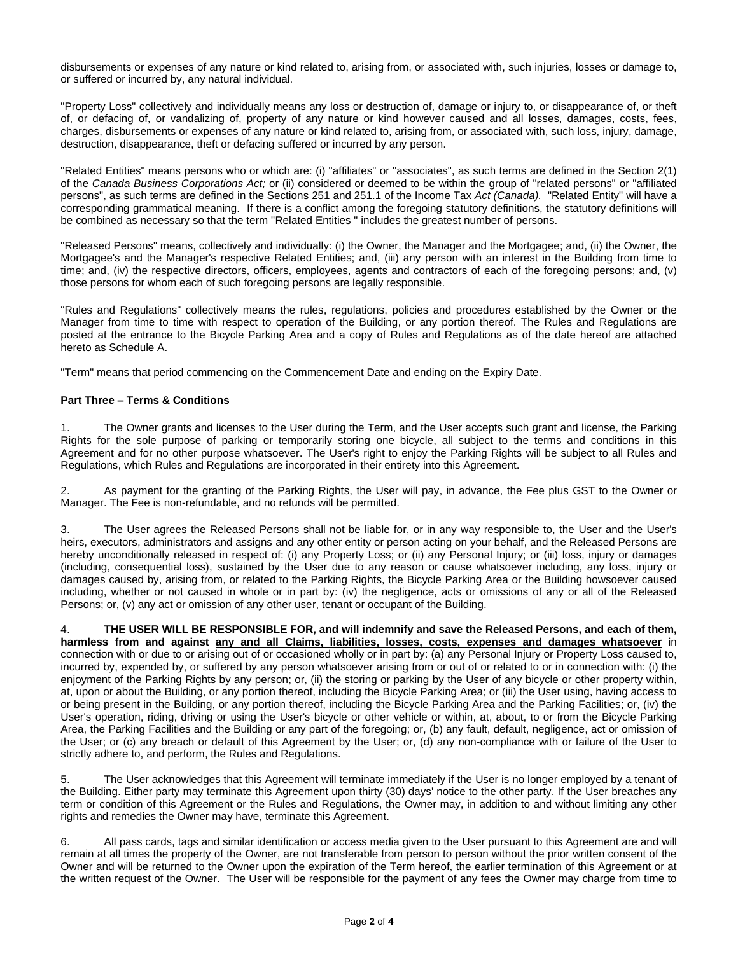disbursements or expenses of any nature or kind related to, arising from, or associated with, such injuries, losses or damage to, or suffered or incurred by, any natural individual.

"Property Loss" collectively and individually means any loss or destruction of, damage or injury to, or disappearance of, or theft of, or defacing of, or vandalizing of, property of any nature or kind however caused and all losses, damages, costs, fees, charges, disbursements or expenses of any nature or kind related to, arising from, or associated with, such loss, injury, damage, destruction, disappearance, theft or defacing suffered or incurred by any person.

"Related Entities" means persons who or which are: (i) "affiliates" or "associates", as such terms are defined in the Section 2(1) of the *Canada Business Corporations Act;* or (ii) considered or deemed to be within the group of "related persons" or "affiliated persons", as such terms are defined in the Sections 251 and 251.1 of the Income Tax *Act (Canada).* "Related Entity" will have a corresponding grammatical meaning. If there is a conflict among the foregoing statutory definitions, the statutory definitions will be combined as necessary so that the term "Related Entities " includes the greatest number of persons.

"Released Persons" means, collectively and individually: (i) the Owner, the Manager and the Mortgagee; and, (ii) the Owner, the Mortgagee's and the Manager's respective Related Entities; and, (iii) any person with an interest in the Building from time to time; and, (iv) the respective directors, officers, employees, agents and contractors of each of the foregoing persons; and, (v) those persons for whom each of such foregoing persons are legally responsible.

"Rules and Regulations" collectively means the rules, regulations, policies and procedures established by the Owner or the Manager from time to time with respect to operation of the Building, or any portion thereof. The Rules and Regulations are posted at the entrance to the Bicycle Parking Area and a copy of Rules and Regulations as of the date hereof are attached hereto as Schedule A.

"Term" means that period commencing on the Commencement Date and ending on the Expiry Date.

## **Part Three – Terms & Conditions**

1. The Owner grants and licenses to the User during the Term, and the User accepts such grant and license, the Parking Rights for the sole purpose of parking or temporarily storing one bicycle, all subject to the terms and conditions in this Agreement and for no other purpose whatsoever. The User's right to enjoy the Parking Rights will be subject to all Rules and Regulations, which Rules and Regulations are incorporated in their entirety into this Agreement.

2. As payment for the granting of the Parking Rights, the User will pay, in advance, the Fee plus GST to the Owner or Manager. The Fee is non-refundable, and no refunds will be permitted.

3. The User agrees the Released Persons shall not be liable for, or in any way responsible to, the User and the User's heirs, executors, administrators and assigns and any other entity or person acting on your behalf, and the Released Persons are hereby unconditionally released in respect of: (i) any Property Loss; or (ii) any Personal Injury; or (iii) loss, injury or damages (including, consequential loss), sustained by the User due to any reason or cause whatsoever including, any loss, injury or damages caused by, arising from, or related to the Parking Rights, the Bicycle Parking Area or the Building howsoever caused including, whether or not caused in whole or in part by: (iv) the negligence, acts or omissions of any or all of the Released Persons; or, (v) any act or omission of any other user, tenant or occupant of the Building.

4. **THE USER WILL BE RESPONSIBLE FOR, and will indemnify and save the Released Persons, and each of them, harmless from and against any and all Claims, liabilities, losses, costs, expenses and damages whatsoever** in connection with or due to or arising out of or occasioned wholly or in part by: (a) any Personal Injury or Property Loss caused to, incurred by, expended by, or suffered by any person whatsoever arising from or out of or related to or in connection with: (i) the enjoyment of the Parking Rights by any person; or, (ii) the storing or parking by the User of any bicycle or other property within, at, upon or about the Building, or any portion thereof, including the Bicycle Parking Area; or (iii) the User using, having access to or being present in the Building, or any portion thereof, including the Bicycle Parking Area and the Parking Facilities; or, (iv) the User's operation, riding, driving or using the User's bicycle or other vehicle or within, at, about, to or from the Bicycle Parking Area, the Parking Facilities and the Building or any part of the foregoing; or, (b) any fault, default, negligence, act or omission of the User; or (c) any breach or default of this Agreement by the User; or, (d) any non-compliance with or failure of the User to strictly adhere to, and perform, the Rules and Regulations.

5. The User acknowledges that this Agreement will terminate immediately if the User is no longer employed by a tenant of the Building. Either party may terminate this Agreement upon thirty (30) days' notice to the other party. If the User breaches any term or condition of this Agreement or the Rules and Regulations, the Owner may, in addition to and without limiting any other rights and remedies the Owner may have, terminate this Agreement.

6. All pass cards, tags and similar identification or access media given to the User pursuant to this Agreement are and will remain at all times the property of the Owner, are not transferable from person to person without the prior written consent of the Owner and will be returned to the Owner upon the expiration of the Term hereof, the earlier termination of this Agreement or at the written request of the Owner. The User will be responsible for the payment of any fees the Owner may charge from time to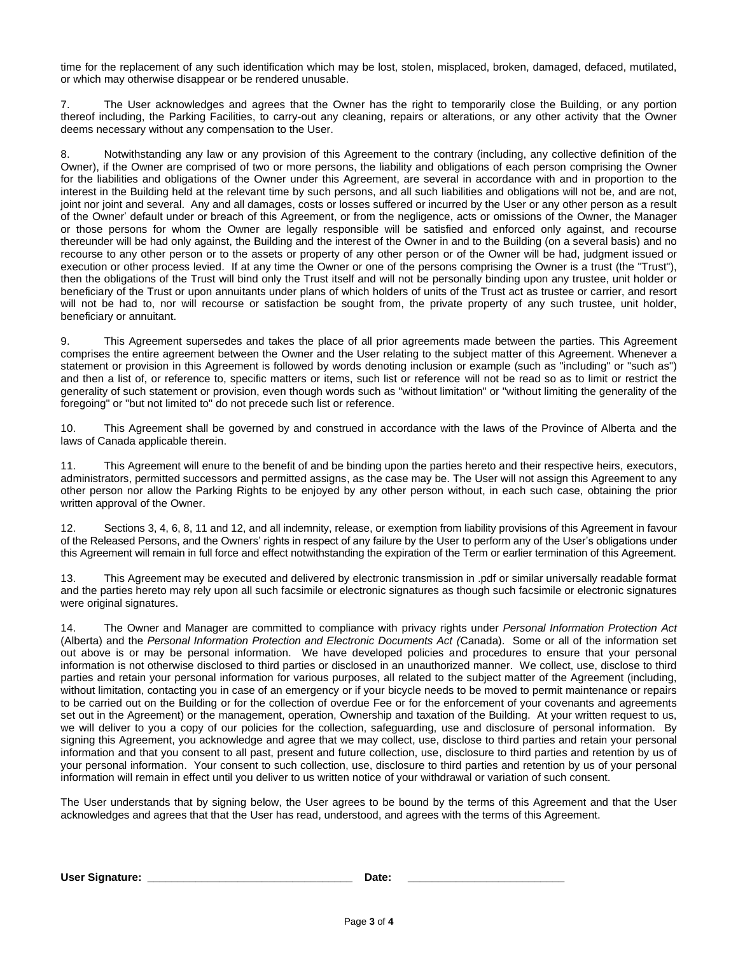time for the replacement of any such identification which may be lost, stolen, misplaced, broken, damaged, defaced, mutilated, or which may otherwise disappear or be rendered unusable.

7. The User acknowledges and agrees that the Owner has the right to temporarily close the Building, or any portion thereof including, the Parking Facilities, to carry-out any cleaning, repairs or alterations, or any other activity that the Owner deems necessary without any compensation to the User.

8. Notwithstanding any law or any provision of this Agreement to the contrary (including, any collective definition of the Owner), if the Owner are comprised of two or more persons, the liability and obligations of each person comprising the Owner for the liabilities and obligations of the Owner under this Agreement, are several in accordance with and in proportion to the interest in the Building held at the relevant time by such persons, and all such liabilities and obligations will not be, and are not, joint nor joint and several. Any and all damages, costs or losses suffered or incurred by the User or any other person as a result of the Owner' default under or breach of this Agreement, or from the negligence, acts or omissions of the Owner, the Manager or those persons for whom the Owner are legally responsible will be satisfied and enforced only against, and recourse thereunder will be had only against, the Building and the interest of the Owner in and to the Building (on a several basis) and no recourse to any other person or to the assets or property of any other person or of the Owner will be had, judgment issued or execution or other process levied. If at any time the Owner or one of the persons comprising the Owner is a trust (the "Trust"), then the obligations of the Trust will bind only the Trust itself and will not be personally binding upon any trustee, unit holder or beneficiary of the Trust or upon annuitants under plans of which holders of units of the Trust act as trustee or carrier, and resort will not be had to, nor will recourse or satisfaction be sought from, the private property of any such trustee, unit holder, beneficiary or annuitant.

9. This Agreement supersedes and takes the place of all prior agreements made between the parties. This Agreement comprises the entire agreement between the Owner and the User relating to the subject matter of this Agreement. Whenever a statement or provision in this Agreement is followed by words denoting inclusion or example (such as "including" or "such as") and then a list of, or reference to, specific matters or items, such list or reference will not be read so as to limit or restrict the generality of such statement or provision, even though words such as "without limitation" or "without limiting the generality of the foregoing" or "but not limited to" do not precede such list or reference.

10. This Agreement shall be governed by and construed in accordance with the laws of the Province of Alberta and the laws of Canada applicable therein.

11. This Agreement will enure to the benefit of and be binding upon the parties hereto and their respective heirs, executors, administrators, permitted successors and permitted assigns, as the case may be. The User will not assign this Agreement to any other person nor allow the Parking Rights to be enjoyed by any other person without, in each such case, obtaining the prior written approval of the Owner.

12. Sections 3, 4, 6, 8, 11 and 12, and all indemnity, release, or exemption from liability provisions of this Agreement in favour of the Released Persons, and the Owners' rights in respect of any failure by the User to perform any of the User's obligations under this Agreement will remain in full force and effect notwithstanding the expiration of the Term or earlier termination of this Agreement.

13. This Agreement may be executed and delivered by electronic transmission in .pdf or similar universally readable format and the parties hereto may rely upon all such facsimile or electronic signatures as though such facsimile or electronic signatures were original signatures.

14. The Owner and Manager are committed to compliance with privacy rights under *Personal Information Protection Act* (Alberta) and the *Personal Information Protection and Electronic Documents Act (*Canada). Some or all of the information set out above is or may be personal information. We have developed policies and procedures to ensure that your personal information is not otherwise disclosed to third parties or disclosed in an unauthorized manner. We collect, use, disclose to third parties and retain your personal information for various purposes, all related to the subject matter of the Agreement (including, without limitation, contacting you in case of an emergency or if your bicycle needs to be moved to permit maintenance or repairs to be carried out on the Building or for the collection of overdue Fee or for the enforcement of your covenants and agreements set out in the Agreement) or the management, operation, Ownership and taxation of the Building. At your written request to us, we will deliver to you a copy of our policies for the collection, safeguarding, use and disclosure of personal information. By signing this Agreement, you acknowledge and agree that we may collect, use, disclose to third parties and retain your personal information and that you consent to all past, present and future collection, use, disclosure to third parties and retention by us of your personal information. Your consent to such collection, use, disclosure to third parties and retention by us of your personal information will remain in effect until you deliver to us written notice of your withdrawal or variation of such consent.

The User understands that by signing below, the User agrees to be bound by the terms of this Agreement and that the User acknowledges and agrees that that the User has read, understood, and agrees with the terms of this Agreement.

**User Signature: \_\_\_\_\_\_\_\_\_\_\_\_\_\_\_\_\_\_\_\_\_\_\_\_\_\_\_\_\_\_\_\_\_\_ Date: \_\_\_\_\_\_\_\_\_\_\_\_\_\_\_\_\_\_\_\_\_\_\_\_\_\_**